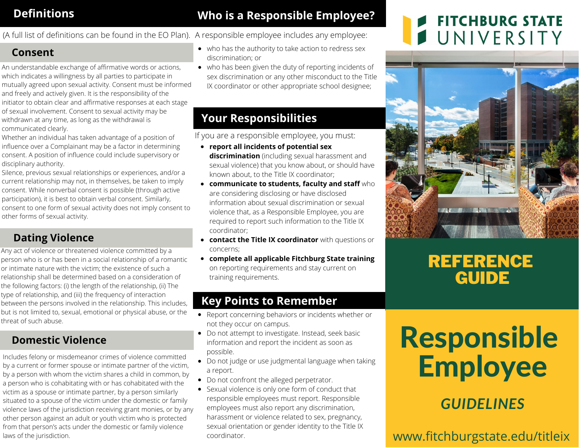## **Definitions**

#### **Who is a Responsible Employee?**

(A full list of definitions can be found in the EO Plan). A responsible employee includes any employee:

#### **Consent**

- An understandable exchange of affirmative words or actions, which indicates a willingness by all parties to participate in mutually agreed upon sexual activity. Consent must be informed and freely and actively given. It is the responsibility of the initiator to obtain clear and affirmative responses at each stage of sexual involvement. Consent to sexual activity may be withdrawn at any time, as long as the withdrawal is communicated clearly.
- Whether an individual has taken advantage of a position of influence over a Complainant may be a factor in determining consent. A position of influence could include supervisory or disciplinary authority.
- Silence, previous sexual relationships or experiences, and/or a current relationship may not, in themselves, be taken to imply consent. While nonverbal consent is possible (through active participation), it is best to obtain verbal consent. Similarly, consent to one form of sexual activity does not imply consent to
- other forms of sexual activity.

#### **Dating Violence**

Any act of violence or threatened violence committed by a person who is or has been in a social relationship of a romantic or intimate nature with the victim; the existence of such a relationship shall be determined based on a consideration of the following factors: (i) the length of the relationship, (ii) The type of relationship, and (iii) the frequency of interaction between the persons involved in the relationship. This includes, but is not limited to, sexual, emotional or physical abuse, or the threat of such abuse.

#### **Domestic Violence**

Includes felony or misdemeanor crimes of violence committed by a current or former spouse or intimate partner of the victim, by a person with whom the victim shares a child in common, by a person who is cohabitating with or has cohabitated with the victim as a spouse or intimate partner, by a person similarly situated to a spouse of the victim under the domestic or family violence laws of the jurisdiction receiving grant monies, or by any other person against an adult or youth victim who is protected from that person's acts under the domestic or family violence laws of the jurisdiction.

- who has the authority to take action to redress sex discrimination; or
- who has been given the duty of reporting incidents of sex discrimination or any other misconduct to the Title IX coordinator or other appropriate school designee;

### **Your Responsibilities**

If you are a responsible employee, you must:

- **report all incidents of potential sex discrimination** (including sexual harassment and sexual violence) that you know about, or should have known about, to the Title IX coordinator;
- **communicate to students, faculty and staff** who are considering disclosing or have disclosed information about sexual discrimination or sexual violence that, as a Responsible Employee, you are required to report such information to the Title IX coordinator;
- **contact the Title IX coordinator** with questions or concerns;
- **complete all applicable Fitchburg State training** on reporting requirements and stay current on training requirements.

#### **Key Points to Remember**

- Report concerning behaviors or incidents whether or not they occur on campus.
- Do not attempt to investigate. Instead, seek basic information and report the incident as soon as possible.
- Do not judge or use judgmental language when taking a report.
- Do not confront the alleged perpetrator.
- Sexual violence is only one form of conduct that responsible employees must report. Responsible employees must also report any discrimination, harassment or violence related to sex, pregnancy, sexual orientation or gender identity to the Title IX coordinator.

# **FITCHBURG STATE** UNIVERSITY



## REFERENCE **GUIDE**

# Responsible Employee

## *GUIDELINES*

www.fitchburgstate.edu/titleix